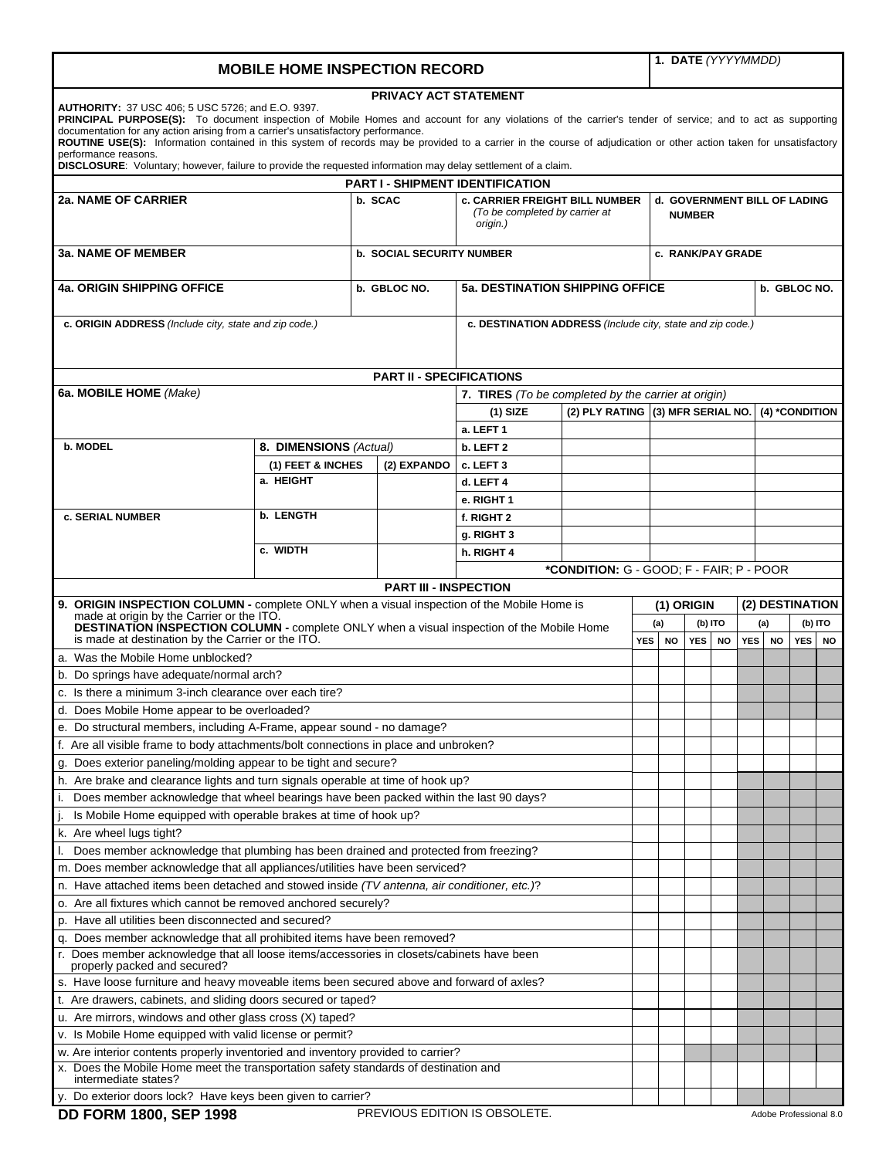| <b>MOBILE HOME INSPECTION RECORD</b>                                                                                                                                                                                                                                                                                                                                                                                                                                                                     |                                |                                                            |                                                                                     |                                          | 1. DATE (YYYYMMDD) |                                               |            |           |              |                                   |            |           |
|----------------------------------------------------------------------------------------------------------------------------------------------------------------------------------------------------------------------------------------------------------------------------------------------------------------------------------------------------------------------------------------------------------------------------------------------------------------------------------------------------------|--------------------------------|------------------------------------------------------------|-------------------------------------------------------------------------------------|------------------------------------------|--------------------|-----------------------------------------------|------------|-----------|--------------|-----------------------------------|------------|-----------|
|                                                                                                                                                                                                                                                                                                                                                                                                                                                                                                          |                                | PRIVACY ACT STATEMENT                                      |                                                                                     |                                          |                    |                                               |            |           |              |                                   |            |           |
| <b>AUTHORITY: 37 USC 406; 5 USC 5726; and E.O. 9397.</b><br>PRINCIPAL PURPOSE(S): To document inspection of Mobile Homes and account for any violations of the carrier's tender of service; and to act as supporting<br>documentation for any action arising from a carrier's unsatisfactory performance.<br>ROUTINE USE(S): Information contained in this system of records may be provided to a carrier in the course of adjudication or other action taken for unsatisfactory<br>performance reasons. |                                |                                                            |                                                                                     |                                          |                    |                                               |            |           |              |                                   |            |           |
| DISCLOSURE: Voluntary; however, failure to provide the requested information may delay settlement of a claim.                                                                                                                                                                                                                                                                                                                                                                                            |                                |                                                            |                                                                                     |                                          |                    |                                               |            |           |              |                                   |            |           |
|                                                                                                                                                                                                                                                                                                                                                                                                                                                                                                          |                                | <b>PART I - SHIPMENT IDENTIFICATION</b>                    |                                                                                     |                                          |                    |                                               |            |           |              |                                   |            |           |
| <b>2a. NAME OF CARRIER</b>                                                                                                                                                                                                                                                                                                                                                                                                                                                                               |                                | b. SCAC                                                    | <b>c. CARRIER FREIGHT BILL NUMBER</b><br>(To be completed by carrier at<br>origin.) |                                          |                    | d. GOVERNMENT BILL OF LADING<br><b>NUMBER</b> |            |           |              |                                   |            |           |
| <b>3a. NAME OF MEMBER</b>                                                                                                                                                                                                                                                                                                                                                                                                                                                                                |                                | <b>b. SOCIAL SECURITY NUMBER</b>                           |                                                                                     | c. RANK/PAY GRADE                        |                    |                                               |            |           |              |                                   |            |           |
| <b>4a. ORIGIN SHIPPING OFFICE</b>                                                                                                                                                                                                                                                                                                                                                                                                                                                                        |                                | b. GBLOC NO.                                               | <b>5a. DESTINATION SHIPPING OFFICE</b>                                              |                                          |                    |                                               |            |           | b. GBLOC NO. |                                   |            |           |
| c. ORIGIN ADDRESS (Include city, state and zip code.)                                                                                                                                                                                                                                                                                                                                                                                                                                                    |                                | c. DESTINATION ADDRESS (Include city, state and zip code.) |                                                                                     |                                          |                    |                                               |            |           |              |                                   |            |           |
|                                                                                                                                                                                                                                                                                                                                                                                                                                                                                                          |                                |                                                            |                                                                                     |                                          |                    |                                               |            |           |              |                                   |            |           |
|                                                                                                                                                                                                                                                                                                                                                                                                                                                                                                          |                                | <b>PART II - SPECIFICATIONS</b>                            |                                                                                     |                                          |                    |                                               |            |           |              |                                   |            |           |
| 6a. MOBILE HOME (Make)                                                                                                                                                                                                                                                                                                                                                                                                                                                                                   |                                |                                                            | 7. TIRES (To be completed by the carrier at origin)                                 |                                          |                    |                                               |            |           |              |                                   |            |           |
|                                                                                                                                                                                                                                                                                                                                                                                                                                                                                                          |                                |                                                            | $(1)$ SIZE                                                                          | (2) PLY RATING (3) MFR SERIAL NO.        |                    |                                               |            |           |              | (4) *CONDITION                    |            |           |
|                                                                                                                                                                                                                                                                                                                                                                                                                                                                                                          |                                |                                                            | a. LEFT 1                                                                           |                                          |                    |                                               |            |           |              |                                   |            |           |
| b. MODEL                                                                                                                                                                                                                                                                                                                                                                                                                                                                                                 | 8. DIMENSIONS (Actual)         |                                                            | b. LEFT 2                                                                           |                                          |                    |                                               |            |           |              |                                   |            |           |
|                                                                                                                                                                                                                                                                                                                                                                                                                                                                                                          | (1) FEET & INCHES<br>a. HEIGHT | (2) EXPANDO                                                | c. LEFT 3                                                                           |                                          |                    |                                               |            |           |              |                                   |            |           |
|                                                                                                                                                                                                                                                                                                                                                                                                                                                                                                          |                                |                                                            | d. LEFT 4                                                                           |                                          |                    |                                               |            |           |              |                                   |            |           |
|                                                                                                                                                                                                                                                                                                                                                                                                                                                                                                          |                                |                                                            | e. RIGHT 1                                                                          |                                          |                    |                                               |            |           |              |                                   |            |           |
| c. SERIAL NUMBER                                                                                                                                                                                                                                                                                                                                                                                                                                                                                         | b. LENGTH                      |                                                            | f. RIGHT 2                                                                          |                                          |                    |                                               |            |           |              |                                   |            |           |
|                                                                                                                                                                                                                                                                                                                                                                                                                                                                                                          |                                |                                                            | g. RIGHT 3                                                                          |                                          |                    |                                               |            |           |              |                                   |            |           |
|                                                                                                                                                                                                                                                                                                                                                                                                                                                                                                          | c. WIDTH                       |                                                            | h. RIGHT 4                                                                          |                                          |                    |                                               |            |           |              |                                   |            |           |
|                                                                                                                                                                                                                                                                                                                                                                                                                                                                                                          |                                |                                                            |                                                                                     | *CONDITION: G - GOOD; F - FAIR; P - POOR |                    |                                               |            |           |              |                                   |            |           |
|                                                                                                                                                                                                                                                                                                                                                                                                                                                                                                          |                                | <b>PART III - INSPECTION</b>                               |                                                                                     |                                          |                    |                                               |            |           |              |                                   |            |           |
| 9. ORIGIN INSPECTION COLUMN - complete ONLY when a visual inspection of the Mobile Home is<br>made at origin by the Carrier or the ITO.<br><b>DESTINATION INSPECTION COLUMN - complete ONLY when a visual inspection of the Mobile Home</b>                                                                                                                                                                                                                                                              |                                |                                                            |                                                                                     |                                          |                    | (1) ORIGIN<br>(b) ITO<br>(a)                  |            |           |              | (2) DESTINATION<br>(a)<br>(b) ITO |            |           |
| is made at destination by the Carrier or the ITO.                                                                                                                                                                                                                                                                                                                                                                                                                                                        |                                |                                                            |                                                                                     |                                          |                    | <b>YES</b><br><b>NO</b>                       | <b>YES</b> | <b>NO</b> | <b>YES</b>   | <b>NO</b>                         | <b>YES</b> | <b>NO</b> |
| a. Was the Mobile Home unblocked?                                                                                                                                                                                                                                                                                                                                                                                                                                                                        |                                |                                                            |                                                                                     |                                          |                    |                                               |            |           |              |                                   |            |           |
| b. Do springs have adequate/normal arch?                                                                                                                                                                                                                                                                                                                                                                                                                                                                 |                                |                                                            |                                                                                     |                                          |                    |                                               |            |           |              |                                   |            |           |
| c. Is there a minimum 3-inch clearance over each tire?                                                                                                                                                                                                                                                                                                                                                                                                                                                   |                                |                                                            |                                                                                     |                                          |                    |                                               |            |           |              |                                   |            |           |
| Does Mobile Home appear to be overloaded?<br>d.                                                                                                                                                                                                                                                                                                                                                                                                                                                          |                                |                                                            |                                                                                     |                                          |                    |                                               |            |           |              |                                   |            |           |
| e. Do structural members, including A-Frame, appear sound - no damage?                                                                                                                                                                                                                                                                                                                                                                                                                                   |                                |                                                            |                                                                                     |                                          |                    |                                               |            |           |              |                                   |            |           |
| f. Are all visible frame to body attachments/bolt connections in place and unbroken?                                                                                                                                                                                                                                                                                                                                                                                                                     |                                |                                                            |                                                                                     |                                          |                    |                                               |            |           |              |                                   |            |           |
| g. Does exterior paneling/molding appear to be tight and secure?                                                                                                                                                                                                                                                                                                                                                                                                                                         |                                |                                                            |                                                                                     |                                          |                    |                                               |            |           |              |                                   |            |           |
| h. Are brake and clearance lights and turn signals operable at time of hook up?                                                                                                                                                                                                                                                                                                                                                                                                                          |                                |                                                            |                                                                                     |                                          |                    |                                               |            |           |              |                                   |            |           |
| Does member acknowledge that wheel bearings have been packed within the last 90 days?                                                                                                                                                                                                                                                                                                                                                                                                                    |                                |                                                            |                                                                                     |                                          |                    |                                               |            |           |              |                                   |            |           |
| Is Mobile Home equipped with operable brakes at time of hook up?                                                                                                                                                                                                                                                                                                                                                                                                                                         |                                |                                                            |                                                                                     |                                          |                    |                                               |            |           |              |                                   |            |           |
| k. Are wheel lugs tight?                                                                                                                                                                                                                                                                                                                                                                                                                                                                                 |                                |                                                            |                                                                                     |                                          |                    |                                               |            |           |              |                                   |            |           |
| Does member acknowledge that plumbing has been drained and protected from freezing?                                                                                                                                                                                                                                                                                                                                                                                                                      |                                |                                                            |                                                                                     |                                          |                    |                                               |            |           |              |                                   |            |           |
| m. Does member acknowledge that all appliances/utilities have been serviced?                                                                                                                                                                                                                                                                                                                                                                                                                             |                                |                                                            |                                                                                     |                                          |                    |                                               |            |           |              |                                   |            |           |
| n. Have attached items been detached and stowed inside (TV antenna, air conditioner, etc.)?                                                                                                                                                                                                                                                                                                                                                                                                              |                                |                                                            |                                                                                     |                                          |                    |                                               |            |           |              |                                   |            |           |
| o. Are all fixtures which cannot be removed anchored securely?                                                                                                                                                                                                                                                                                                                                                                                                                                           |                                |                                                            |                                                                                     |                                          |                    |                                               |            |           |              |                                   |            |           |
| p. Have all utilities been disconnected and secured?                                                                                                                                                                                                                                                                                                                                                                                                                                                     |                                |                                                            |                                                                                     |                                          |                    |                                               |            |           |              |                                   |            |           |
| Does member acknowledge that all prohibited items have been removed?<br>q.                                                                                                                                                                                                                                                                                                                                                                                                                               |                                |                                                            |                                                                                     |                                          |                    |                                               |            |           |              |                                   |            |           |
| r. Does member acknowledge that all loose items/accessories in closets/cabinets have been<br>properly packed and secured?                                                                                                                                                                                                                                                                                                                                                                                |                                |                                                            |                                                                                     |                                          |                    |                                               |            |           |              |                                   |            |           |
| s. Have loose furniture and heavy moveable items been secured above and forward of axles?                                                                                                                                                                                                                                                                                                                                                                                                                |                                |                                                            |                                                                                     |                                          |                    |                                               |            |           |              |                                   |            |           |
| t. Are drawers, cabinets, and sliding doors secured or taped?                                                                                                                                                                                                                                                                                                                                                                                                                                            |                                |                                                            |                                                                                     |                                          |                    |                                               |            |           |              |                                   |            |           |
| u. Are mirrors, windows and other glass cross (X) taped?                                                                                                                                                                                                                                                                                                                                                                                                                                                 |                                |                                                            |                                                                                     |                                          |                    |                                               |            |           |              |                                   |            |           |
| v. Is Mobile Home equipped with valid license or permit?                                                                                                                                                                                                                                                                                                                                                                                                                                                 |                                |                                                            |                                                                                     |                                          |                    |                                               |            |           |              |                                   |            |           |
| w. Are interior contents properly inventoried and inventory provided to carrier?                                                                                                                                                                                                                                                                                                                                                                                                                         |                                |                                                            |                                                                                     |                                          |                    |                                               |            |           |              |                                   |            |           |
| x. Does the Mobile Home meet the transportation safety standards of destination and<br>intermediate states?                                                                                                                                                                                                                                                                                                                                                                                              |                                |                                                            |                                                                                     |                                          |                    |                                               |            |           |              |                                   |            |           |